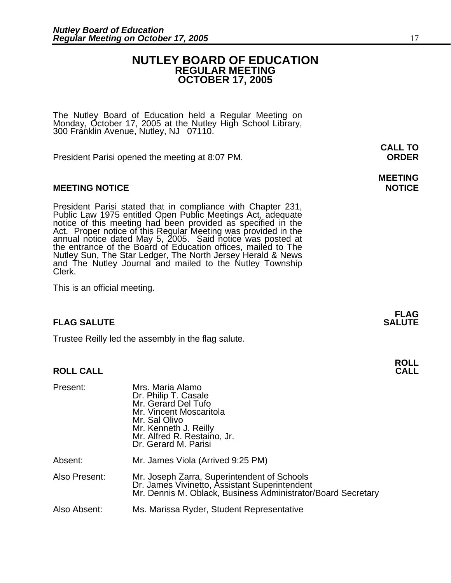### **NUTLEY BOARD OF EDUCATION REGULAR MEETING OCTOBER 17, 2005**

The Nutley Board of Education held a Regular Meeting on Monday, October 17, 2005 at the Nutley High School Library, 300 Franklin Avenue, Nutley, NJ 07110.

President Parisi opened the meeting at 8:07 PM. **ORDER**

### **MEETING NOTICE NOTICE AND RESERVE ASSESS**

President Parisi stated that in compliance with Chapter 231,<br>Public Law 1975 entitled Open Public Meetings Act, adequate<br>notice of this meeting had been provided as specified in the<br>Act. Proper notice of this Regular Meeti annual notice dated May 5, 2005. Said notice was posted at<br>the entrance of the Board of Education offices, mailed to The Nutley Sun, The Star Ledger, The North Jersey Herald & News and The Nutley Journal and mailed to the Nutley Township Clerk.

This is an official meeting.

### **FLAG SALUTE SALUTE SALUTE**

Trustee Reilly led the assembly in the flag salute.

### **ROLL CALL**

| Present:      | Mrs. Maria Alamo<br>Dr. Philip T. Casale<br>Mr. Gerard Del Tufo<br>Mr. Vincent Moscaritola<br>Mr. Sal Olivo<br>Mr. Kenneth J. Reilly<br>Mr. Alfred R. Restaino, Jr.<br>Dr. Gerard M. Parisi |
|---------------|---------------------------------------------------------------------------------------------------------------------------------------------------------------------------------------------|
| Absent:       | Mr. James Viola (Arrived 9:25 PM)                                                                                                                                                           |
| Also Present: | Mr. Joseph Zarra, Superintendent of Schools<br>Dr. James Vivinetto, Assistant Superintendent<br>Mr. Dennis M. Oblack, Business Administrator/Board Secretary                                |
| Also Absent:  | Ms. Marissa Ryder, Student Representative                                                                                                                                                   |

**CALL TO** 

## **MEETING**

**FLAG** 

**ROLL**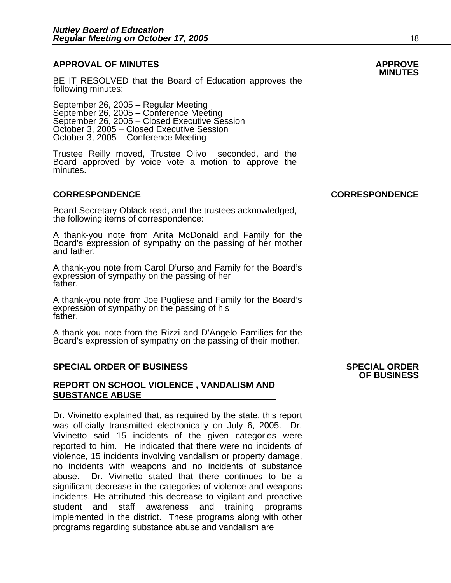### **APPROVAL OF MINUTES APPROVE**

BE IT RESOLVED that the Board of Education approves the following minutes:

 September 26, 2005 – Regular Meeting September 26, 2005 – Conference Meeting<br>September 26, 2005 – Closed Executive Session October 3, 2005 – Closed Executive Session October 3, 2005 - Conference Meeting

> Trustee Reilly moved, Trustee Olivo seconded, and the Board approved by voice vote a motion to approve the minutes.

Board Secretary Oblack read, and the trustees acknowledged, the following items of correspondence:

A thank-you note from Anita McDonald and Family for the Board's expression of sympathy on the passing of her mother and father.

A thank-you note from Carol D'urso and Family for the Board's expression of sympathy on the passing of her father.

A thank-you note from Joe Pugliese and Family for the Board's expression of sympathy on the passing of his father.

A thank-you note from the Rizzi and D'Angelo Families for the Board's expression of sympathy on the passing of their mother.

### **SPECIAL ORDER OF BUSINESS SPECIAL ORDER**

### **REPORT ON SCHOOL VIOLENCE , VANDALISM AND SUBSTANCE ABUSE**

Dr. Vivinetto explained that, as required by the state, this report was officially transmitted electronically on July 6, 2005. Dr. Vivinetto said 15 incidents of the given categories were reported to him. He indicated that there were no incidents of violence, 15 incidents involving vandalism or property damage, no incidents with weapons and no incidents of substance abuse. Dr. Vivinetto stated that there continues to be a significant decrease in the categories of violence and weapons incidents. He attributed this decrease to vigilant and proactive student and staff awareness and training programs implemented in the district. These programs along with other programs regarding substance abuse and vandalism are

### **CORRESPONDENCE CORRESPONDENCE**

### **OF BUSINESS**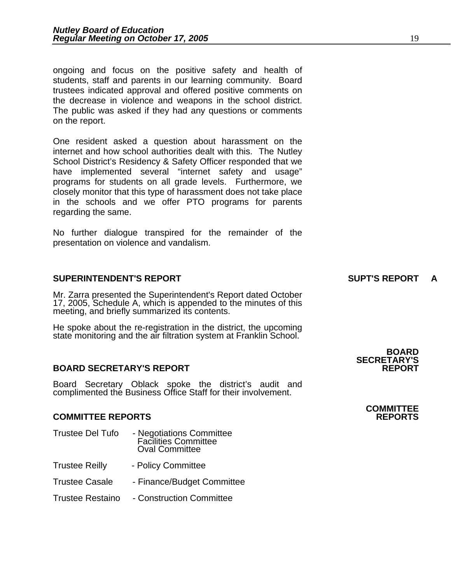ongoing and focus on the positive safety and health of students, staff and parents in our learning community. Board trustees indicated approval and offered positive comments on the decrease in violence and weapons in the school district. The public was asked if they had any questions or comments on the report.

One resident asked a question about harassment on the internet and how school authorities dealt with this. The Nutley School District's Residency & Safety Officer responded that we have implemented several "internet safety and usage" programs for students on all grade levels. Furthermore, we closely monitor that this type of harassment does not take place in the schools and we offer PTO programs for parents regarding the same.

No further dialogue transpired for the remainder of the presentation on violence and vandalism.

### **SUPERINTENDENT'S REPORT SUPT'S REPORT A**

Mr. Zarra presented the Superintendent's Report dated October 17, 2005, Schedule A, which is appended to the minutes of this meeting, and briefly summarized its contents.

He spoke about the re-registration in the district, the upcoming state monitoring and the air filtration system at Franklin School.

### **BOARD SECRETARY'S REPORT REPORT**

Board Secretary Oblack spoke the district's audit and complimented the Business Office Staff for their involvement.

### **COMMITTEE REPORTS REPORTS**

- Trustee Del Tufo Negotiations Committee Facilities Committee Oval Committee
- Trustee Reilly Policy Committee
- Trustee Casale Finance/Budget Committee
- Trustee Restaino Construction Committee

### **BOARD SECRETARY'S**

## **COMMITTEE**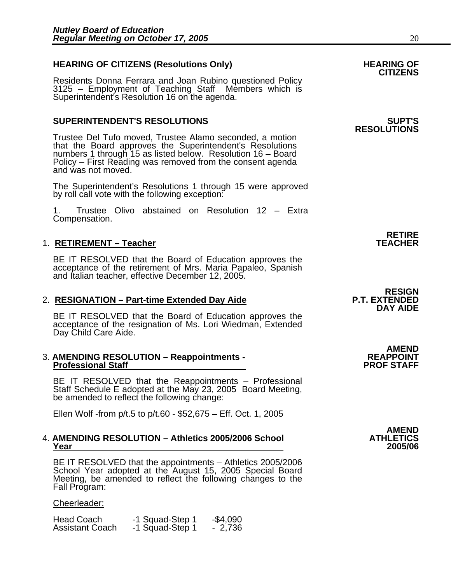### HEARING OF CITIZENS (Resolutions Only) HEARING OF<br>CITIZENS

Residents Donna Ferrara and Joan Rubino questioned Policy 3125 – Employment of Teaching Staff Members which is Superintendent's Resolution 16 on the agenda.

### **SUPERINTENDENT'S RESOLUTIONS SUPT'S**

Trustee Del Tufo moved, Trustee Alamo seconded, a motion that the Board approves the Superintendent's Resolutions numbers 1 through 15 as listed below. Resolution 16 – Board Policy – First Reading was removed from the consent agenda and was not moved.

The Superintendent's Resolutions 1 through 15 were approved by roll call vote with the following exception:

1. Trustee Olivo abstained on Resolution 12 – Extra Compensation.

### 1. **RETIREMENT – Teacher TEACHER**

BE IT RESOLVED that the Board of Education approves the acceptance of the retirement of Mrs. Maria Papaleo, Spanish and Italian teacher, effective December 12, 2005.

2. **RESIGNATION – Part-time Extended Day Aide P.T. EXTENDED**<br>DAY AIDE BE IT RESOLVED that the Board of Education approves the acceptance of the resignation of Ms. Lori Wiedman, Extended Day Child Care Aide.

#### 3. **AMENDING RESOLUTION – Reappointments - REAPPOINT Professional Staff**

BE IT RESOLVED that the Reappointments – Professional Staff Schedule E adopted at the May 23, 2005 Board Meeting, be amended to reflect the following change:

Ellen Wolf -from p/t.5 to p/t.60 - \$52,675 – Eff. Oct. 1, 2005

### 4. **AMENDING RESOLUTION – Athletics 2005/2006 School ATHLETICS Year 2005/06**

BE IT RESOLVED that the appointments – Athletics 2005/2006 School Year adopted at the August 15, 2005 Special Board<br>Meeting, be amended to reflect the following changes to the<br>Fall Program:

### Cheerleader:

| Head Coach             | -1 Squad-Step 1 | $-$4,090$ |
|------------------------|-----------------|-----------|
| <b>Assistant Coach</b> | -1 Squad-Step 1 | 2,736     |

## **RESOLUTIONS**

### **RETIRE**

# **RESIGN**

**AMEND** 

**AMEND**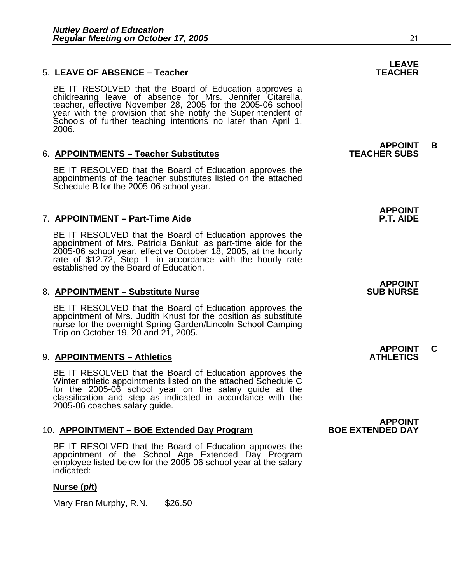### 5. LEAVE OF ABSENCE – Teacher **TEACHER TEACHER**

BE IT RESOLVED that the Board of Education approves a childrearing leave of absence for Mrs. Jennifer Citarella, teacher, effective November 28, 2005 for the 2005-06 school year with the provision that she notify the Superintendent of Schools of further teaching intentions no later than April 1, 2006.

### 6. **APPOINTMENTS – Teacher Substitutes TEACHER SUBS**

BE IT RESOLVED that the Board of Education approves the appointments of the teacher substitutes listed on the attached Schedule B for the 2005-06 school year.

### 7. **APPOINTMENT – Part-Time Aide P.T. AIDE**

BE IT RESOLVED that the Board of Education approves the appointment of Mrs. Patricia Bankuti as part-time aide for the 2005-06 school year, effective October 18, 2005, at the hourly rate of \$12.72, Step 1, in accordance wi

### 8. APPOINTMENT – Substitute Nurse **SUB SUB NURSE**

BE IT RESOLVED that the Board of Education approves the appointment of Mrs. Judith Knust for the position as substitute nurse for the overnight Spring Garden/Lincoln School Camping Trip on October 19, 20 and 21, 2005.

### 9. APPOIN<u>TMENTS – Athletics</u> ATHLETICS

BE IT RESOLVED that the Board of Education approves the Winter athletic appointments listed on the attached Schedule C for the 2005-06 school year on the salary guide at the classification and step as indicated in accordance with the 2005-06 coaches salary guide.

### 10. **APPOINTMENT – BOE Extended Day Program BOE EXTENDED DAY**

BE IT RESOLVED that the Board of Education approves the appointment of the School Age Extended Day Program employee listed below for the 2005-06 school year at the salary indicated:

### **Nurse (p/t)**

Mary Fran Murphy, R.N. \$26.50

## **LEAVE**

**APPOINT B** 

## **APPOINT**

### **APPOINT**

**APPOINT C** 

**APPOINT**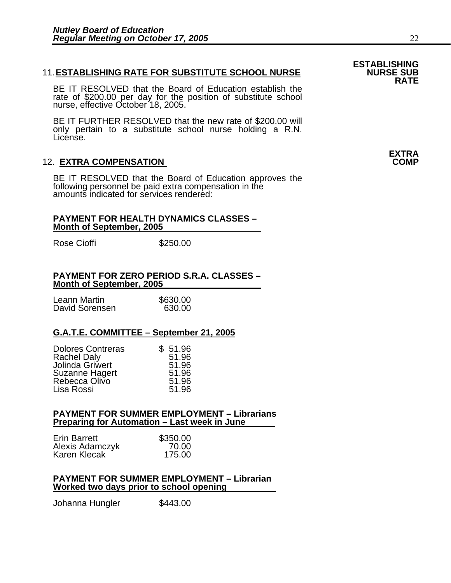### 11. **ESTABLISHING RATE FOR SUBSTITUTE SCHOOL NURSE NURSE SUB RATE**

BE IT RESOLVED that the Board of Education establish the rate of \$200.00 per day for the position of substitute school nurse, effective October 18, 2005.

BE IT FURTHER RESOLVED that the new rate of \$200.00 will only pertain to a substitute school nurse holding a R.N. License.

### 12. **EXTRA COMPENSATION**

BE IT RESOLVED that the Board of Education approves the following personnel be paid extra compensation in the amounts indicated for services rendered:

#### **PAYMENT FOR HEALTH DYNAMICS CLASSES – Month of September, 2005**

Rose Cioffi **\$250.00** 

### **PAYMENT FOR ZERO PERIOD S.R.A. CLASSES – Month of September, 2005**

| Leann Martin   | \$630.00 |
|----------------|----------|
| David Sorensen | 630.00   |

### **G.A.T.E. COMMITTEE – September 21, 2005**

| <b>Dolores Contreras</b> | \$51.96 |
|--------------------------|---------|
| <b>Rachel Daly</b>       | 51.96   |
| Jolinda Griwert          | 51.96   |
| <b>Suzanne Hagert</b>    | 51.96   |
| Rebecca Olivo            | 51.96   |
| Lisa Rossi               | 51.96   |

### **PAYMENT FOR SUMMER EMPLOYMENT – Librarians Preparing for Automation – Last week in June**

| <b>Erin Barrett</b> | \$350.00 |
|---------------------|----------|
| Alexis Adamczyk     | 70.00    |
| Karen Klecak        | 175.00   |

### **PAYMENT FOR SUMMER EMPLOYMENT – Librarian Worked two days prior to school opening**

Johanna Hungler \$443.00

**ESTABLISHING** 

### **EXTRA**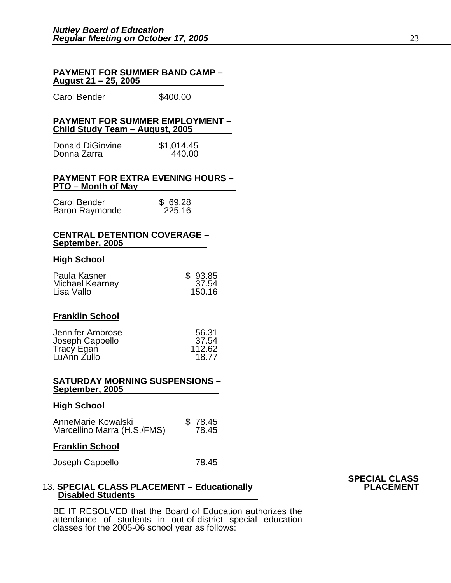#### **PAYMENT FOR SUMMER BAND CAMP – August 21 – 25, 2005**

Carol Bender \$400.00

### **PAYMENT FOR SUMMER EMPLOYMENT – Child Study Team – August, 2005**

| <b>Donald DiGiovine</b> | \$1,014.45 |
|-------------------------|------------|
| Donna Zarra             | 440.00     |

#### **PAYMENT FOR EXTRA EVENING HOURS – PTO – Month of May**

| Carol Bender   | \$69.28 |
|----------------|---------|
| Baron Raymonde | 225.16  |

#### **CENTRAL DETENTION COVERAGE – September, 2005**

### **High School**

| Paula Kasner           | \$93.85 |
|------------------------|---------|
| <b>Michael Kearney</b> | 37.54   |
| Lisa Vallo             | 150.16  |

### **Franklin School**

| Jennifer Ambrose | 56.31  |
|------------------|--------|
| Joseph Cappello  | 37.54  |
| Tracy Egan       | 112.62 |
| LuAnn Zullo      | 18.77  |

#### **SATURDAY MORNING SUSPENSIONS – September, 2005**

#### **High School**

| AnneMarie Kowalski          | \$78.45 |
|-----------------------------|---------|
| Marcellino Marra (H.S./FMS) | 78.45   |

### **Franklin School**

Joseph Cappello 78.45

### **SPECIAL CLASS** 13. **SPECIAL CLASS PLACEMENT – Educationally PLACEMENT Disabled Students**

BE IT RESOLVED that the Board of Education authorizes the attendance of students in out-of-district special education classes for the 2005-06 school year as follows: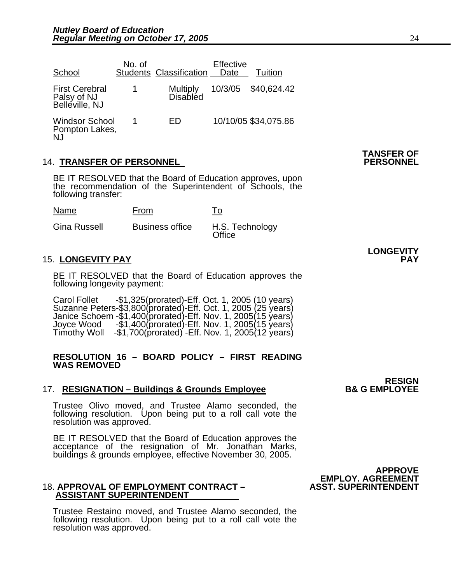| School                                                 | No. of | <b>Students Classification</b>     | Effective<br>Date | Tuition              |
|--------------------------------------------------------|--------|------------------------------------|-------------------|----------------------|
| <b>First Cerebral</b><br>Palsy of NJ<br>Belleville, NJ |        | <b>Multiply</b><br><b>Disabled</b> |                   | 10/3/05 \$40,624.42  |
| <b>Windsor School</b><br>Pompton Lakes,<br>NJ          |        | FD                                 |                   | 10/10/05 \$34,075.86 |

### 14. **TRANSFER OF PERSONNEL PERSONNEL**

BE IT RESOLVED that the Board of Education approves, upon the recommendation of the Superintendent of Schools, the following transfer:

| Name         | From                   | To                        |
|--------------|------------------------|---------------------------|
| Gina Russell | <b>Business office</b> | H.S. Technology<br>Office |

### 15. **LONGEVITY PAY PAY**

BE IT RESOLVED that the Board of Education approves the following longevity payment:

Carol Follet -\$1,325(prorated)-Eff. Oct. 1, 2005 (10 years)<br>Suzanne Peters-\$3,800(prorated)-Eff. Oct. 1, 2005 (25 years)<br>Janice Schoem -\$1,400(prorated)-Eff. Nov. 1, 2005(15 years)<br>Joyce Wood -\$1,400(prorated)-Eff. Nov. 1,

### **RESOLUTION 16 – BOARD POLICY – FIRST READING WAS REMOVED**

### 17. **RESIGNATION – Buildings & Grounds Employee**

Trustee Olivo moved, and Trustee Alamo seconded, the following resolution. Upon being put to a roll call vote the resolution was approved.

 BE IT RESOLVED that the Board of Education approves the acceptance of the resignation of Mr. Jonathan Marks, buildings & grounds employee, effective November 30, 2005.

#### 18. APPROVAL OF EMPLOYMENT CONTRACT - **ASSISTANT SUPERINTENDENT**

Trustee Restaino moved, and Trustee Alamo seconded, the following resolution. Upon being put to a roll call vote the resolution was approved.

**LONGEVITY** 

**RESIGN<br>B& G EMPLOYEE**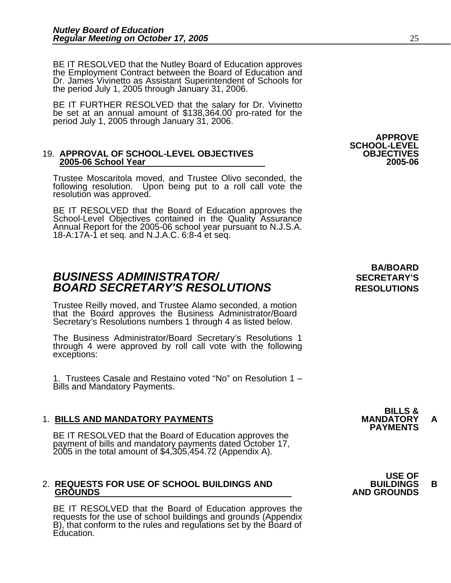BE IT RESOLVED that the Nutley Board of Education approves the Employment Contract between the Board of Education and Dr. James Vivinetto as Assistant Superintendent of Schools for the period July 1, 2005 through January 31, 2006.

BE IT FURTHER RESOLVED that the salary for Dr. Vivinetto be set at an annual amount of \$138,364.00 pro-rated for the period July 1, 2005 through January 31, 2006.

### 19. **APPROVAL OF SCHOOL-LEVEL OBJECTIVES OBJECTIVES 2005-06 School Year 2005-06**

Trustee Moscaritola moved, and Trustee Olivo seconded, the following resolution. Upon being put to a roll call vote the resolution was approved.

BE IT RESOLVED that the Board of Education approves the School-Level Objectives contained in the Quality Assurance Annual Report for the 2005-06 school year pursuant to N.J.S.A. 18-A:17A-1 et seq. and N.J.A.C. 6:8-4 et seq.

### **BUSINESS ADMINISTRATOR/** *BUSINESS ADMINISTRATOR/* **BOARD SECRETARY'S RESOLUTIONS** RESOLUTIONS

Trustee Reilly moved, and Trustee Alamo seconded, a motion that the Board approves the Business Administrator/Board Secretary's Resolutions numbers 1 through 4 as listed below.

The Business Administrator/Board Secretary's Resolutions 1 through 4 were approved by roll call vote with the following exceptions:

1. Trustees Casale and Restaino voted "No" on Resolution 1 – Bills and Mandatory Payments.

1. BILLS AND MANDATORY PAYMENTS<br>BE IT RESOLVED that the Board of Education approves the **PAYMENTS** payment of bills and mandatory payments dated October 17, 2005 in the total amount of \$4,305,454.72 (Appendix A).

## 2. **REQUESTS FOR USE OF SCHOOL BUILDINGS AND BUILDINGS B**

BE IT RESOLVED that the Board of Education approves the requests for the use of school buildings and grounds (Appendix B), that conform to the rules and regulations set by the Board of Education.

# **BA/BOARD**

**APPROVE** 

**SCHOOL-LEVEL** 

**BILLS &** 

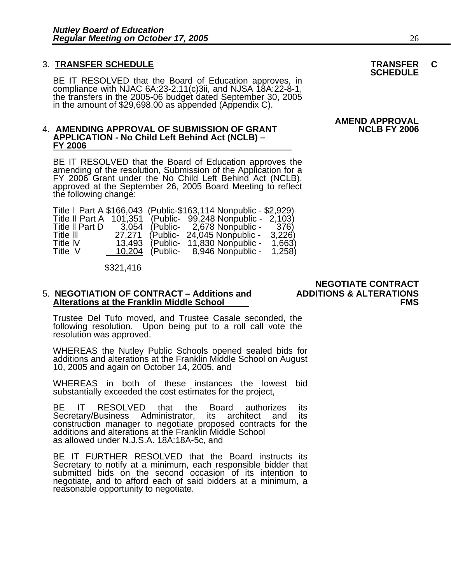### 3. **TRANSFER SCHEDULE TRANSFER C SCHEDULE**

BE IT RESOLVED that the Board of Education approves, in compliance with NJAC 6A:23-2.11(c)3ii, and NJSA 18A:22-8-1, the transfers in the 2005-06 budget dated September 30, 2005 in the amount of \$29,698.00 as appended (Appe

#### 4. AMENDING APPROVAL OF SUBMISSION OF GRANT **APPLICATION - No Child Left Behind Act (NCLB) – FY 2006**

BE IT RESOLVED that the Board of Education approves the amending of the resolution, Submission of the Application for a FY 2006 Grant under the No Child Left Behind Act (NCLB), approved at the September 26, 2005 Board Meet

| Title   Part A \$166,043 (Public-\$163,114 Nonpublic - \$2,929) |         |          |                                    |        |
|-----------------------------------------------------------------|---------|----------|------------------------------------|--------|
| Title II Part A                                                 | 101.351 |          | (Public- 99,248 Nonpublic - 2,103) |        |
| Title II Part D                                                 | 3.054   |          | (Public- 2,678 Nonpublic -         | 376)   |
| Title III                                                       | 27.271  | (Public- | 24,045 Nonpublic -                 | 3,226  |
| <b>Title IV</b>                                                 | 13,493  | (Public- | 11,830 Nonpublic -                 | 1,663) |
| Title V                                                         | 10,204  | (Public- | 8,946 Nonpublic -                  | 1,258  |

\$321,416

## 5. **NEGOTIATION OF CONTRACT – Additions and ADDITIONS & ALTERATIONS Alterations at the Franklin Middle School FMS**

Trustee Del Tufo moved, and Trustee Casale seconded, the following resolution. Upon being put to a roll call vote the resolution was approved.

WHEREAS the Nutley Public Schools opened sealed bids for additions and alterations at the Franklin Middle School on August 10, 2005 and again on October 14, 2005, and

WHEREAS in both of these instances the lowest bid substantially exceeded the cost estimates for the project,

BE IT RESOLVED that the Board authorizes its Secretary/Business Administrator, its architect and its construction manager to negotiate proposed contracts for the additions and alterations at the Franklin Middle School as allowed under N.J.S.A. 18A:18A-5c, and

BE IT FURTHER RESOLVED that the Board instructs its Secretary to notify at a minimum, each responsible bidder that Secretary to notify at a minimum, each responsible bidder that<br>submitted bids on the second occasion of its intention to negotiate, and to afford each of said bidders at a minimum, a reasonable opportunity to negotiate.

 **NEGOTIATE CONTRACT** 

**AMEND APPROVAL**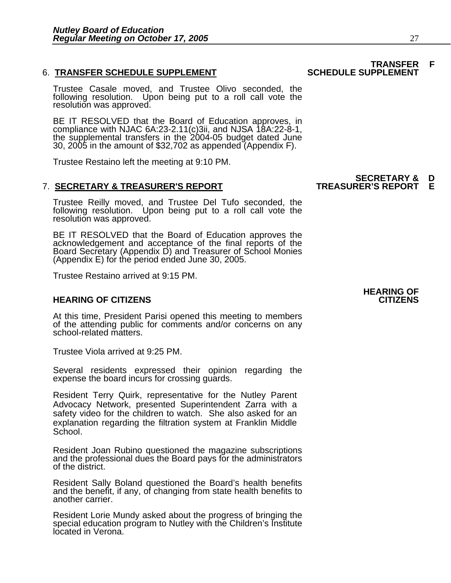### **6. TRANSFER SCHEDULE SUPPLEMENT**

Trustee Casale moved, and Trustee Olivo seconded, the following resolution. Upon being put to a roll call vote the resolution was approved.

BE IT RESOLVED that the Board of Education approves, in compliance with NJAC 6A:23-2.11(c)3ii, and NJSA 18A:22-8-1, the supplemental transfers in the 2004-05 budget dated June 30, 2005 in the amount of \$32,702 as appended (Appendix F).

Trustee Restaino left the meeting at 9:10 PM.

### **SECRETARY & D**  7. **SECRETARY & TREASURER'S REPORT TREASURER'S REPORT E**

Trustee Reilly moved, and Trustee Del Tufo seconded, the following resolution. Upon being put to a roll call vote the<br>resolution was approved.

BE IT RESOLVED that the Board of Education approves the acknowledgement and acceptance of the final reports of the Board Secretary (Appendix D) and Treasurer of School Monies (Appendix E) for the period ended June 30, 2005.

Trustee Restaino arrived at 9:15 PM.

### **HEARING OF CITIZENS CITIZENS**

At this time, President Parisi opened this meeting to members of the attending public for comments and/or concerns on any school-related matters.

Trustee Viola arrived at 9:25 PM.

Several residents expressed their opinion regarding the expense the board incurs for crossing guards.

Resident Terry Quirk, representative for the Nutley Parent Advocacy Network, presented Superintendent Zarra with a safety video for the children to watch. She also asked for an explanation regarding the filtration system at Franklin Middle School.

Resident Joan Rubino questioned the magazine subscriptions and the professional dues the Board pays for the administrators of the district.

Resident Sally Boland questioned the Board's health benefits and the benefit, if any, of changing from state health benefits to another carrier.

Resident Lorie Mundy asked about the progress of bringing the special education program to Nutley with the Children's Institute located in Verona.

### **HEARING OF**

## **TRANSFER F**<br>SCHEDULE SUPPLEMENT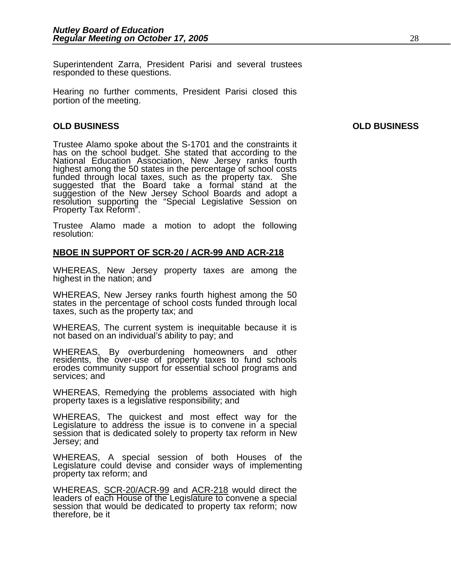Superintendent Zarra, President Parisi and several trustees responded to these questions.

Hearing no further comments, President Parisi closed this portion of the meeting.

### **OLD BUSINESS OLD BUSINESS**

Trustee Alamo spoke about the S-1701 and the constraints it has on the school budget. She stated that according to the National Education Association, New Jersey ranks fourth<br>highest among the 50 states in the percentage of school costs<br>funded through local taxes, such as the property tax. She<br>suggested that the Board take a formal stand a resolution supporting the "Special Legislative Session on Property Tax Reform".

Trustee Alamo made a motion to adopt the following resolution:

### **NBOE IN SUPPORT OF SCR-20 / ACR-99 AND ACR-218**

WHEREAS, New Jersey property taxes are among the highest in the nation; and

WHEREAS, New Jersey ranks fourth highest among the 50 states in the percentage of school costs funded through local taxes, such as the property tax; and

WHEREAS, The current system is inequitable because it is not based on an individual's ability to pay; and

WHEREAS, By overburdening homeowners and other residents, the over-use of property taxes to fund schools erodes community support for essential school programs and services; and

WHEREAS, Remedying the problems associated with high property taxes is a legislative responsibility; and

WHEREAS, The quickest and most effect way for the Legislature to address the issue is to convene in a special session that is dedicated solely to property tax reform in New<br>Jersey; and

WHEREAS, A special session of both Houses of the Legislature could devise and consider ways of implementing property tax reform; and

WHEREAS, SCR-20/ACR-99 and ACR-218 would direct the leaders of each House of the Legislature to convene a special session that would be dedicated to property tax reform; now therefore, be it